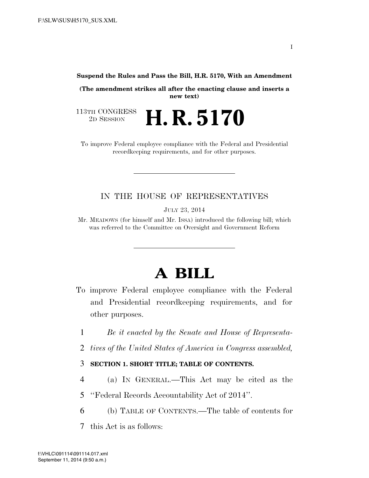**Suspend the Rules and Pass the Bill, H.R. 5170, With an Amendment** 

**(The amendment strikes all after the enacting clause and inserts a new text)** 

113TH CONGRESS<br>2D SESSION 2D SESSION **H. R. 5170** 

To improve Federal employee compliance with the Federal and Presidential recordkeeping requirements, and for other purposes.

### IN THE HOUSE OF REPRESENTATIVES

JULY 23, 2014

Mr. MEADOWS (for himself and Mr. ISSA) introduced the following bill; which was referred to the Committee on Oversight and Government Reform

# **A BILL**

- To improve Federal employee compliance with the Federal and Presidential recordkeeping requirements, and for other purposes.
	- 1 *Be it enacted by the Senate and House of Representa-*
	- 2 *tives of the United States of America in Congress assembled,*

### 3 **SECTION 1. SHORT TITLE; TABLE OF CONTENTS.**

- 4 (a) IN GENERAL.—This Act may be cited as the
- 5 ''Federal Records Accountability Act of 2014''.
- 6 (b) TABLE OF CONTENTS.—The table of contents for
- 7 this Act is as follows: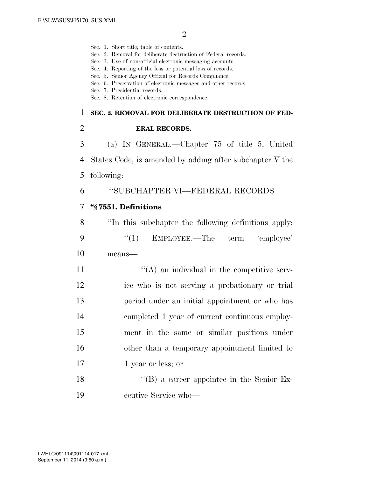- Sec. 1. Short title; table of contents.
- Sec. 2. Removal for deliberate destruction of Federal records.
- Sec. 3. Use of non-official electronic messaging accounts.
- Sec. 4. Reporting of the loss or potential loss of records.
- Sec. 5. Senior Agency Official for Records Compliance.
- Sec. 6. Preservation of electronic messages and other records.
- Sec. 7. Presidential records.
- Sec. 8. Retention of electronic correspondence.

#### 1 **SEC. 2. REMOVAL FOR DELIBERATE DESTRUCTION OF FED-**

2 **ERAL RECORDS.** 

3 (a) IN GENERAL.—Chapter 75 of title 5, United 4 States Code, is amended by adding after subchapter V the 5 following:

### 6 ''SUBCHAPTER VI—FEDERAL RECORDS

### 7 **''§ 7551. Definitions**

8 ''In this subchapter the following definitions apply: 9 "(1) EMPLOYEE.—The term 'employee' 10 means—

 $\mathcal{L}(\mathbf{A})$  an individual in the competitive serv- ice who is not serving a probationary or trial period under an initial appointment or who has completed 1 year of current continuous employ- ment in the same or similar positions under other than a temporary appointment limited to 17 1 year or less; or

18 ''(B) a career appointee in the Senior Ex-19 ecutive Service who—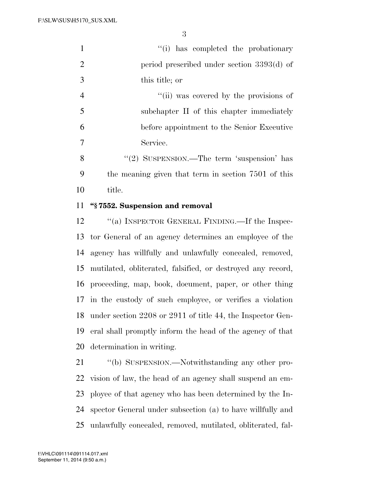| $\mathbf{1}$   | "(i) has completed the probationary                 |
|----------------|-----------------------------------------------------|
| 2              | period prescribed under section 3393(d) of          |
| 3              | this title; or                                      |
| $\overline{4}$ | "(ii) was covered by the provisions of              |
| 5              | subchapter II of this chapter immediately           |
| 6              | before appointment to the Senior Executive          |
| 7              | Service.                                            |
| 8              | "(2) SUSPENSION.—The term 'suspension' has          |
| 9              | the meaning given that term in section 7501 of this |

title.

### **''§ 7552. Suspension and removal**

12 "(a) INSPECTOR GENERAL FINDING.—If the Inspec- tor General of an agency determines an employee of the agency has willfully and unlawfully concealed, removed, mutilated, obliterated, falsified, or destroyed any record, proceeding, map, book, document, paper, or other thing in the custody of such employee, or verifies a violation under section 2208 or 2911 of title 44, the Inspector Gen- eral shall promptly inform the head of the agency of that determination in writing.

21 "(b) SUSPENSION.—Notwithstanding any other pro- vision of law, the head of an agency shall suspend an em- ployee of that agency who has been determined by the In- spector General under subsection (a) to have willfully and unlawfully concealed, removed, mutilated, obliterated, fal-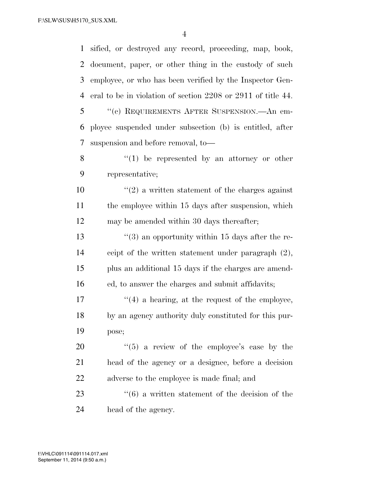sified, or destroyed any record, proceeding, map, book, document, paper, or other thing in the custody of such employee, or who has been verified by the Inspector Gen- eral to be in violation of section 2208 or 2911 of title 44. ''(c) REQUIREMENTS AFTER SUSPENSION.—An em- ployee suspended under subsection (b) is entitled, after suspension and before removal, to— ''(1) be represented by an attorney or other representative;  $\frac{10}{2}$  <sup>''</sup>(2) a written statement of the charges against the employee within 15 days after suspension, which may be amended within 30 days thereafter;  $\frac{13}{2}$  (3) an opportunity within 15 days after the re- ceipt of the written statement under paragraph (2), plus an additional 15 days if the charges are amend- ed, to answer the charges and submit affidavits;  $\frac{u(4)}{4}$  a hearing, at the request of the employee, by an agency authority duly constituted for this pur- pose;  $\frac{1}{20}$  a review of the employee's case by the head of the agency or a designee, before a decision adverse to the employee is made final; and 23 ''(6) a written statement of the decision of the head of the agency.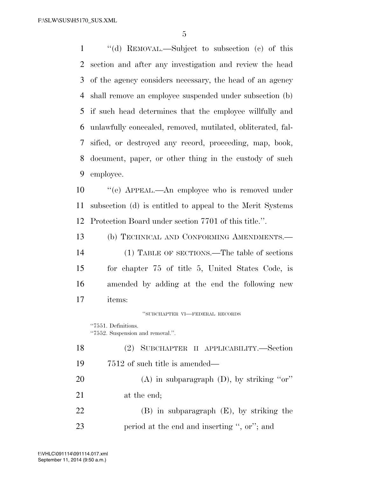''(d) REMOVAL.—Subject to subsection (c) of this section and after any investigation and review the head of the agency considers necessary, the head of an agency shall remove an employee suspended under subsection (b) if such head determines that the employee willfully and unlawfully concealed, removed, mutilated, obliterated, fal- sified, or destroyed any record, proceeding, map, book, document, paper, or other thing in the custody of such employee.

 ''(e) APPEAL.—An employee who is removed under subsection (d) is entitled to appeal to the Merit Systems Protection Board under section 7701 of this title.''.

 (b) TECHNICAL AND CONFORMING AMENDMENTS.— (1) TABLE OF SECTIONS.—The table of sections for chapter 75 of title 5, United States Code, is amended by adding at the end the following new items:

''SUBCHAPTER VI—FEDERAL RECORDS

''7551. Definitions. ''7552. Suspension and removal.''.

 (2) SUBCHAPTER II APPLICABILITY.—Section 7512 of such title is amended— 20 (A) in subparagraph  $(D)$ , by striking "or" at the end; (B) in subparagraph (E), by striking the period at the end and inserting '', or''; and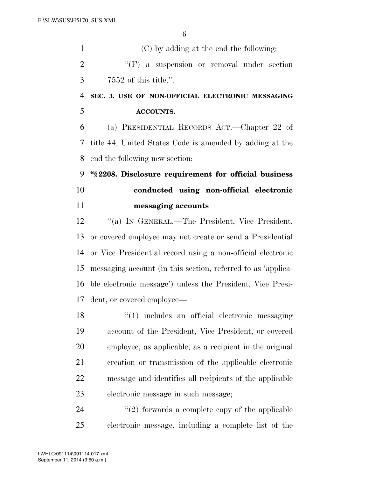(C) by adding at the end the following: 2 "'(F) a suspension or removal under section 7552 of this title.''.

## **SEC. 3. USE OF NON-OFFICIAL ELECTRONIC MESSAGING ACCOUNTS.**

 (a) PRESIDENTIAL RECORDS ACT.—Chapter 22 of title 44, United States Code is amended by adding at the end the following new section:

 **''§ 2208. Disclosure requirement for official business conducted using non-official electronic messaging accounts** 

 ''(a) IN GENERAL.—The President, Vice President, or covered employee may not create or send a Presidential or Vice Presidential record using a non-official electronic messaging account (in this section, referred to as 'applica- ble electronic message') unless the President, Vice Presi-dent, or covered employee—

18 ''(1) includes an official electronic messaging account of the President, Vice President, or covered employee, as applicable, as a recipient in the original creation or transmission of the applicable electronic message and identifies all recipients of the applicable electronic message in such message;

24  $(2)$  forwards a complete copy of the applicable electronic message, including a complete list of the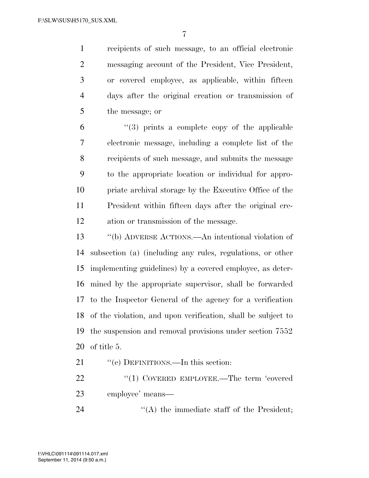recipients of such message, to an official electronic messaging account of the President, Vice President, or covered employee, as applicable, within fifteen days after the original creation or transmission of the message; or

 $(3)$  prints a complete copy of the applicable electronic message, including a complete list of the recipients of such message, and submits the message to the appropriate location or individual for appro- priate archival storage by the Executive Office of the President within fifteen days after the original cre-ation or transmission of the message.

 ''(b) ADVERSE ACTIONS.—An intentional violation of subsection (a) (including any rules, regulations, or other implementing guidelines) by a covered employee, as deter- mined by the appropriate supervisor, shall be forwarded to the Inspector General of the agency for a verification of the violation, and upon verification, shall be subject to the suspension and removal provisions under section 7552 of title 5.

21 "'(c) DEFINITIONS.—In this section:

22 "(1) COVERED EMPLOYEE.—The term 'covered employee' means—

24 ''(A) the immediate staff of the President;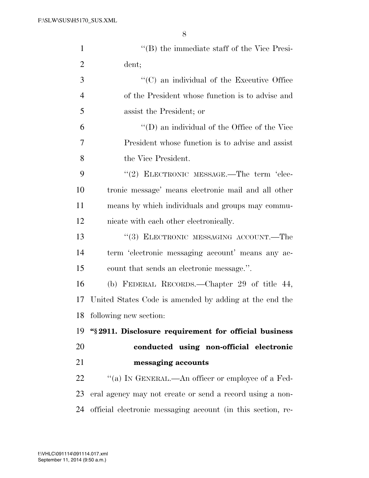| $\mathbf{1}$   | $\lq\lq$ the immediate staff of the Vice Presi-             |
|----------------|-------------------------------------------------------------|
| $\overline{2}$ | dent;                                                       |
| 3              | $\cdot$ (C) an individual of the Executive Office           |
| $\overline{4}$ | of the President whose function is to advise and            |
| 5              | assist the President; or                                    |
| 6              | $\lq\lq$ (D) an individual of the Office of the Vice        |
| 7              | President whose function is to advise and assist            |
| 8              | the Vice President.                                         |
| 9              | "(2) ELECTRONIC MESSAGE.—The term 'elec-                    |
| 10             | tronic message' means electronic mail and all other         |
| 11             | means by which individuals and groups may commu-            |
| 12             | nicate with each other electronically.                      |
| 13             | "(3) ELECTRONIC MESSAGING ACCOUNT.—The                      |
| 14             | term 'electronic messaging account' means any ac-           |
| 15             | count that sends an electronic message.".                   |
| 16             | (b) FEDERAL RECORDS.—Chapter 29 of title 44,                |
| 17             | United States Code is amended by adding at the end the      |
| 18             | following new section:                                      |
| 19             | "§2911. Disclosure requirement for official business        |
| 20             | conducted using non-official electronic                     |
| 21             | messaging accounts                                          |
| 22             | "(a) IN GENERAL.—An officer or employee of a Fed-           |
| 23             | eral agency may not create or send a record using a non-    |
| 24             | official electronic messaging account (in this section, re- |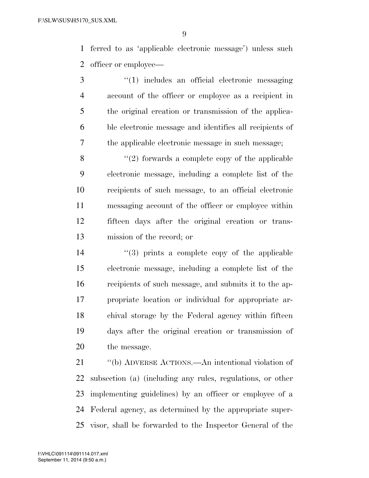ferred to as 'applicable electronic message') unless such officer or employee—

 ''(1) includes an official electronic messaging account of the officer or employee as a recipient in the original creation or transmission of the applica- ble electronic message and identifies all recipients of the applicable electronic message in such message;

 $\mathcal{S}$  ''(2) forwards a complete copy of the applicable electronic message, including a complete list of the recipients of such message, to an official electronic messaging account of the officer or employee within fifteen days after the original creation or trans-mission of the record; or

 ''(3) prints a complete copy of the applicable electronic message, including a complete list of the recipients of such message, and submits it to the ap- propriate location or individual for appropriate ar- chival storage by the Federal agency within fifteen days after the original creation or transmission of the message.

 ''(b) ADVERSE ACTIONS.—An intentional violation of subsection (a) (including any rules, regulations, or other implementing guidelines) by an officer or employee of a Federal agency, as determined by the appropriate super-visor, shall be forwarded to the Inspector General of the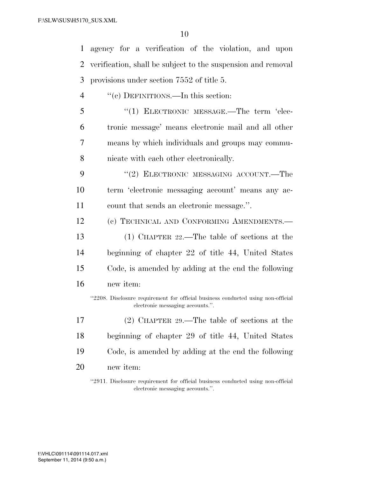| 1  | agency for a verification of the violation, and upon                                                                 |
|----|----------------------------------------------------------------------------------------------------------------------|
| 2  | verification, shall be subject to the suspension and removal                                                         |
| 3  | provisions under section 7552 of title 5.                                                                            |
| 4  | "(c) DEFINITIONS.—In this section:                                                                                   |
| 5  | " $(1)$ ELECTRONIC MESSAGE.—The term 'elec-                                                                          |
| 6  | tronic message' means electronic mail and all other                                                                  |
| 7  | means by which individuals and groups may commu-                                                                     |
| 8  | nicate with each other electronically.                                                                               |
| 9  | "(2) ELECTRONIC MESSAGING ACCOUNT.—The                                                                               |
| 10 | term 'electronic messaging account' means any ac-                                                                    |
| 11 | count that sends an electronic message.".                                                                            |
| 12 | (c) TECHNICAL AND CONFORMING AMENDMENTS.-                                                                            |
| 13 | (1) CHAPTER $22$ —The table of sections at the                                                                       |
| 14 | beginning of chapter 22 of title 44, United States                                                                   |
| 15 | Code, is amended by adding at the end the following                                                                  |
| 16 | new item:                                                                                                            |
|    | "2208. Disclosure requirement for official business conducted using non-official<br>electronic messaging accounts.". |
| 17 | $(2)$ CHAPTER 29.—The table of sections at the                                                                       |
| 18 | beginning of chapter 29 of title 44, United States                                                                   |
| 19 | Code, is amended by adding at the end the following                                                                  |
| 20 | new item:                                                                                                            |
|    | "2911. Disclosure requirement for official business conducted using non-official<br>electronic messaging accounts.". |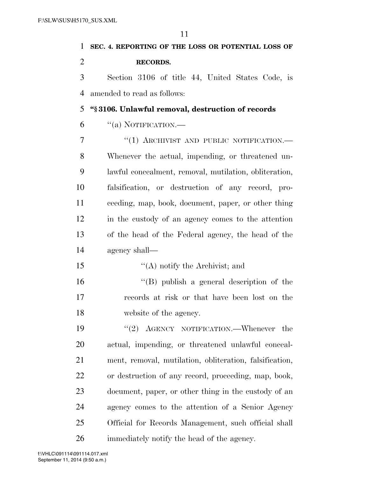| 1              | SEC. 4. REPORTING OF THE LOSS OR POTENTIAL LOSS OF      |
|----------------|---------------------------------------------------------|
| $\overline{2}$ | <b>RECORDS.</b>                                         |
| 3              | Section 3106 of title 44, United States Code, is        |
| 4              | amended to read as follows:                             |
| 5              | "§3106. Unlawful removal, destruction of records        |
| 6              | ``(a) NOTIFICATION.                                     |
| 7              | "(1) ARCHIVIST AND PUBLIC NOTIFICATION.-                |
| 8              | Whenever the actual, impending, or threatened un-       |
| 9              | lawful concealment, removal, mutilation, obliteration,  |
| 10             | falsification, or destruction of any record, pro-       |
| 11             | ceeding, map, book, document, paper, or other thing     |
| 12             | in the custody of an agency comes to the attention      |
| 13             | of the head of the Federal agency, the head of the      |
| 14             | agency shall—                                           |
| 15             | $\lq\lq$ notify the Archivist; and                      |
| 16             | "(B) publish a general description of the               |
| 17             | records at risk or that have been lost on the           |
| 18             | website of the agency.                                  |
| 19             | "(2) $\triangle$ GENCY NOTIFICATION.—Whenever the       |
| 20             | actual, impending, or threatened unlawful conceal-      |
| 21             | ment, removal, mutilation, obliteration, falsification, |
| 22             | or destruction of any record, proceeding, map, book,    |
| 23             | document, paper, or other thing in the custody of an    |
| 24             | agency comes to the attention of a Senior Agency        |
| 25             | Official for Records Management, such official shall    |
| 26             | immediately notify the head of the agency.              |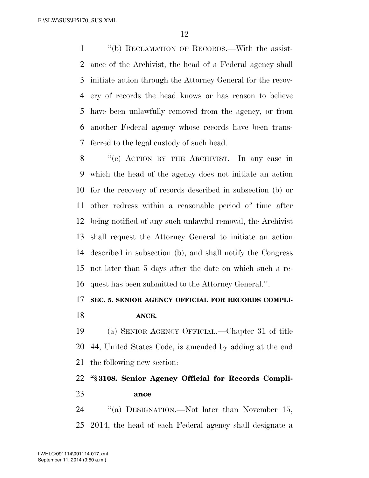''(b) RECLAMATION OF RECORDS.—With the assist- ance of the Archivist, the head of a Federal agency shall initiate action through the Attorney General for the recov- ery of records the head knows or has reason to believe have been unlawfully removed from the agency, or from another Federal agency whose records have been trans-ferred to the legal custody of such head.

 ''(c) ACTION BY THE ARCHIVIST.—In any case in which the head of the agency does not initiate an action for the recovery of records described in subsection (b) or other redress within a reasonable period of time after being notified of any such unlawful removal, the Archivist shall request the Attorney General to initiate an action described in subsection (b), and shall notify the Congress not later than 5 days after the date on which such a re-quest has been submitted to the Attorney General.''.

### **SEC. 5. SENIOR AGENCY OFFICIAL FOR RECORDS COMPLI-**

**ANCE.** 

 (a) SENIOR AGENCY OFFICIAL.—Chapter 31 of title 44, United States Code, is amended by adding at the end the following new section:

## **''§ 3108. Senior Agency Official for Records Compli-ance**

24 "(a) DESIGNATION.—Not later than November 15, 2014, the head of each Federal agency shall designate a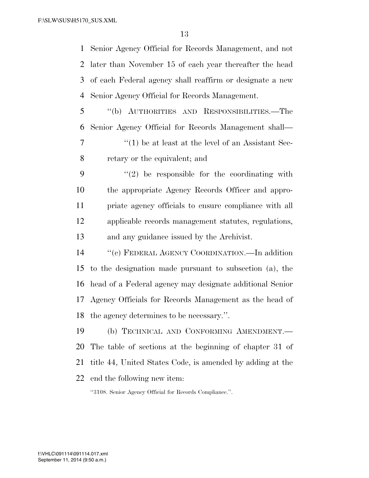Senior Agency Official for Records Management, and not later than November 15 of each year thereafter the head of each Federal agency shall reaffirm or designate a new Senior Agency Official for Records Management.

 ''(b) AUTHORITIES AND RESPONSIBILITIES.—The Senior Agency Official for Records Management shall—

 ''(1) be at least at the level of an Assistant Sec-retary or the equivalent; and

 ''(2) be responsible for the coordinating with the appropriate Agency Records Officer and appro- priate agency officials to ensure compliance with all applicable records management statutes, regulations, and any guidance issued by the Archivist.

 ''(c) FEDERAL AGENCY COORDINATION.—In addition to the designation made pursuant to subsection (a), the head of a Federal agency may designate additional Senior Agency Officials for Records Management as the head of the agency determines to be necessary.''.

 (b) TECHNICAL AND CONFORMING AMENDMENT.— The table of sections at the beginning of chapter 31 of title 44, United States Code, is amended by adding at the end the following new item:

''3108. Senior Agency Official for Records Compliance.''.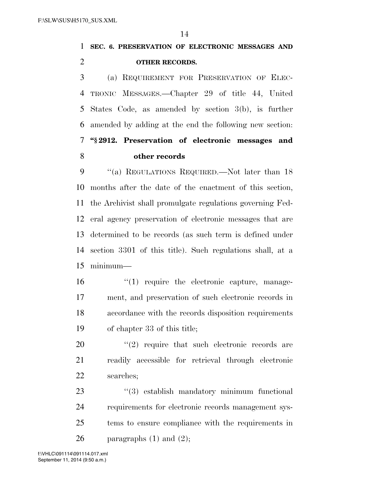# **SEC. 6. PRESERVATION OF ELECTRONIC MESSAGES AND OTHER RECORDS.**

 (a) REQUIREMENT FOR PRESERVATION OF ELEC- TRONIC MESSAGES.—Chapter 29 of title 44, United States Code, as amended by section 3(b), is further amended by adding at the end the following new section: **''§ 2912. Preservation of electronic messages and other records** 

9 "(a) REGULATIONS REQUIRED.—Not later than 18 months after the date of the enactment of this section, the Archivist shall promulgate regulations governing Fed- eral agency preservation of electronic messages that are determined to be records (as such term is defined under section 3301 of this title). Such regulations shall, at a minimum—

16 '(1) require the electronic capture, manage- ment, and preservation of such electronic records in accordance with the records disposition requirements of chapter 33 of this title;

  $(2)$  require that such electronic records are readily accessible for retrieval through electronic searches;

 $(3)$  establish mandatory minimum functional requirements for electronic records management sys- tems to ensure compliance with the requirements in 26 paragraphs  $(1)$  and  $(2)$ ;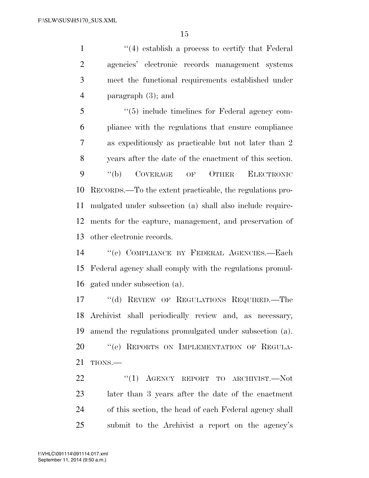1 ''(4) establish a process to certify that Federal agencies' electronic records management systems meet the functional requirements established under paragraph (3); and

 ''(5) include timelines for Federal agency com- pliance with the regulations that ensure compliance as expeditiously as practicable but not later than 2 years after the date of the enactment of this section. ''(b) COVERAGE OF OTHER ELECTRONIC RECORDS.—To the extent practicable, the regulations pro- mulgated under subsection (a) shall also include require- ments for the capture, management, and preservation of other electronic records.

 ''(c) COMPLIANCE BY FEDERAL AGENCIES.—Each Federal agency shall comply with the regulations promul-gated under subsection (a).

 ''(d) REVIEW OF REGULATIONS REQUIRED.—The Archivist shall periodically review and, as necessary, amend the regulations promulgated under subsection (a). 20 "(e) REPORTS ON IMPLEMENTATION OF REGULA-TIONS.—

22 "(1) AGENCY REPORT TO ARCHIVIST. Not later than 3 years after the date of the enactment of this section, the head of each Federal agency shall submit to the Archivist a report on the agency's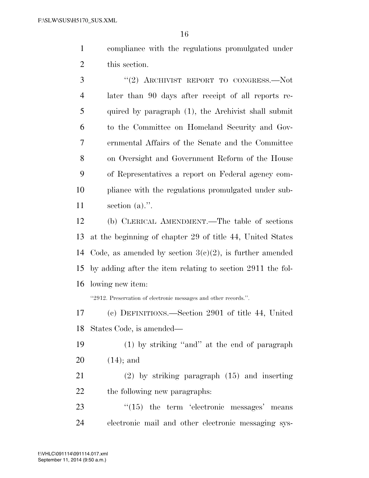compliance with the regulations promulgated under this section.

3 "(2) ARCHIVIST REPORT TO CONGRESS.—Not later than 90 days after receipt of all reports re- quired by paragraph (1), the Archivist shall submit to the Committee on Homeland Security and Gov- ernmental Affairs of the Senate and the Committee on Oversight and Government Reform of the House of Representatives a report on Federal agency com- pliance with the regulations promulgated under sub-section (a).''.

 (b) CLERICAL AMENDMENT.—The table of sections at the beginning of chapter 29 of title 44, United States 14 Code, as amended by section  $3(c)(2)$ , is further amended by adding after the item relating to section 2911 the fol-lowing new item:

''2912. Preservation of electronic messages and other records.''.

 (c) DEFINITIONS.—Section 2901 of title 44, United States Code, is amended—

- (1) by striking ''and'' at the end of paragraph (14); and
- (2) by striking paragraph (15) and inserting the following new paragraphs:
- 23 "(15) the term 'electronic messages' means electronic mail and other electronic messaging sys-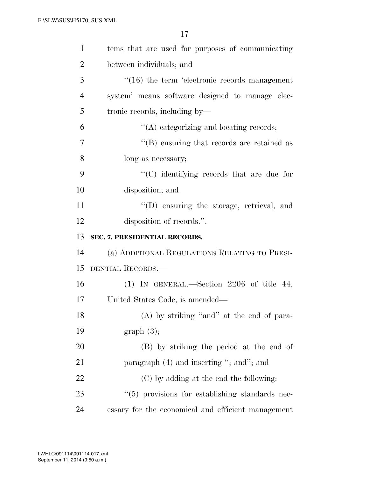| $\mathbf{1}$   | tems that are used for purposes of communicating     |
|----------------|------------------------------------------------------|
| $\overline{2}$ | between individuals; and                             |
| 3              | $\cdot$ (16) the term 'electronic records management |
| $\overline{4}$ | system' means software designed to manage elec-      |
| 5              | tronic records, including by—                        |
| 6              | "(A) categorizing and locating records;              |
| 7              | $\lq\lq$ ensuring that records are retained as       |
| 8              | long as necessary;                                   |
| 9              | "(C) identifying records that are due for            |
| 10             | disposition; and                                     |
| 11             | $\lq\lq$ ensuring the storage, retrieval, and        |
| 12             | disposition of records.".                            |
|                |                                                      |
| 13             | SEC. 7. PRESIDENTIAL RECORDS.                        |
| 14             | (a) ADDITIONAL REGULATIONS RELATING TO PRESI-        |
| 15             | DENTIAL RECORDS.                                     |
| 16             | $(1)$ IN GENERAL.—Section 2206 of title 44,          |
| 17             | United States Code, is amended—                      |
| 18             | (A) by striking "and" at the end of para-            |
| 19             | graph(3);                                            |
| 20             | (B) by striking the period at the end of             |
| 21             | paragraph (4) and inserting "; and"; and             |
| 22             | (C) by adding at the end the following:              |
| 23             | $\lq(5)$ provisions for establishing standards nec-  |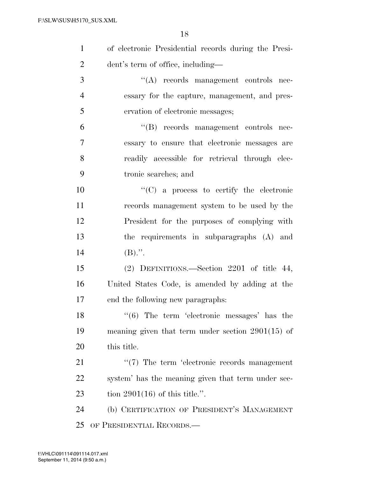| $\mathbf{1}$   | of electronic Presidential records during the Presi-    |
|----------------|---------------------------------------------------------|
| $\overline{2}$ | dent's term of office, including—                       |
| 3              | $\lq\lq$ records management controls nec-               |
| $\overline{4}$ | essary for the capture, management, and pres-           |
| 5              | ervation of electronic messages;                        |
| 6              | "(B) records management controls nec-                   |
| 7              | essary to ensure that electronic messages are           |
| 8              | readily accessible for retrieval through elec-          |
| 9              | tronic searches; and                                    |
| 10             | $\lq\lq$ (C) a process to certify the electronic        |
| 11             | records management system to be used by the             |
| 12             | President for the purposes of complying with            |
| 13             | the requirements in subparagraphs (A) and               |
| 14             | $(B)$ .".                                               |
| 15             | (2) DEFINITIONS.—Section 2201 of title 44,              |
| 16             | United States Code, is amended by adding at the         |
| 17             | end the following new paragraphs:                       |
| 18             | $\cdot\cdot$ (6) The term 'electronic messages' has the |
| 19             | meaning given that term under section $2901(15)$ of     |
| 20             | this title.                                             |
| 21             | $\lq(7)$ The term 'electronic records management        |
| <u>22</u>      | system' has the meaning given that term under sec-      |
| 23             | tion $2901(16)$ of this title.".                        |

 (b) CERTIFICATION OF PRESIDENT'S MANAGEMENT OF PRESIDENTIAL RECORDS.—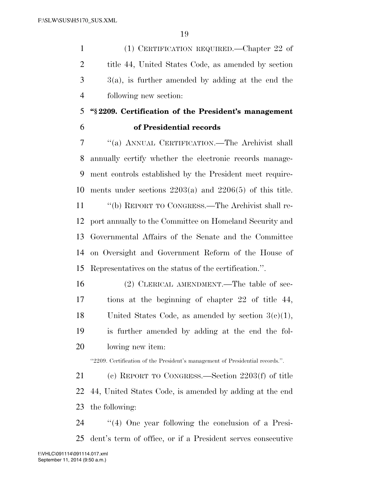(1) CERTIFICATION REQUIRED.—Chapter 22 of title 44, United States Code, as amended by section  $3 \times 3$ (a), is further amended by adding at the end the following new section:

# **''§ 2209. Certification of the President's management**

### **of Presidential records**

 ''(a) ANNUAL CERTIFICATION.—The Archivist shall annually certify whether the electronic records manage- ment controls established by the President meet require- ments under sections 2203(a) and 2206(5) of this title. ''(b) REPORT TO CONGRESS.—The Archivist shall re-port annually to the Committee on Homeland Security and

 Governmental Affairs of the Senate and the Committee on Oversight and Government Reform of the House of Representatives on the status of the certification.''.

 (2) CLERICAL AMENDMENT.—The table of sec- tions at the beginning of chapter 22 of title 44, United States Code, as amended by section 3(c)(1), is further amended by adding at the end the fol-lowing new item:

''2209. Certification of the President's management of Presidential records.''.

 (c) REPORT TO CONGRESS.—Section 2203(f) of title 44, United States Code, is amended by adding at the end the following:

 ''(4) One year following the conclusion of a Presi-dent's term of office, or if a President serves consecutive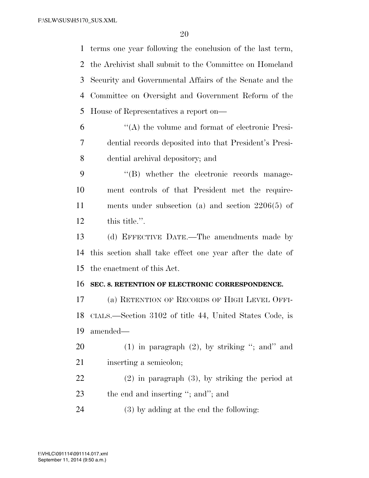terms one year following the conclusion of the last term, the Archivist shall submit to the Committee on Homeland Security and Governmental Affairs of the Senate and the Committee on Oversight and Government Reform of the House of Representatives a report on—

 ''(A) the volume and format of electronic Presi- dential records deposited into that President's Presi-dential archival depository; and

 ''(B) whether the electronic records manage- ment controls of that President met the require- ments under subsection (a) and section 2206(5) of this title.''.

 (d) EFFECTIVE DATE.—The amendments made by this section shall take effect one year after the date of the enactment of this Act.

#### **SEC. 8. RETENTION OF ELECTRONIC CORRESPONDENCE.**

 (a) RETENTION OF RECORDS OF HIGH LEVEL OFFI- CIALS.—Section 3102 of title 44, United States Code, is amended—

20 (1) in paragraph  $(2)$ , by striking "; and" and 21 inserting a semicolon;

 (2) in paragraph (3), by striking the period at 23 the end and inserting "; and"; and

(3) by adding at the end the following: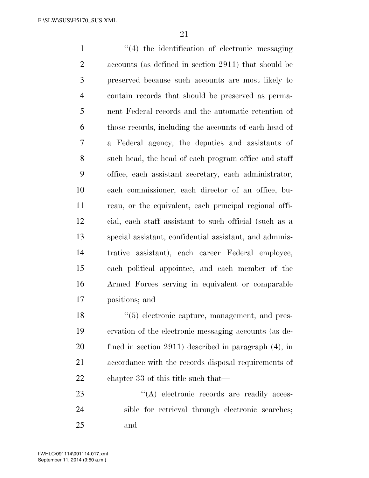$\frac{1}{2}$  the identification of electronic messaging accounts (as defined in section 2911) that should be preserved because such accounts are most likely to contain records that should be preserved as perma- nent Federal records and the automatic retention of those records, including the accounts of each head of a Federal agency, the deputies and assistants of such head, the head of each program office and staff office, each assistant secretary, each administrator, each commissioner, each director of an office, bu- reau, or the equivalent, each principal regional offi- cial, each staff assistant to such official (such as a special assistant, confidential assistant, and adminis- trative assistant), each career Federal employee, each political appointee, and each member of the Armed Forces serving in equivalent or comparable positions; and

18 ''(5) electronic capture, management, and pres- ervation of the electronic messaging accounts (as de- fined in section 2911) described in paragraph (4), in accordance with the records disposal requirements of chapter 33 of this title such that—

23  $\langle (A) \rangle$  electronic records are readily acces- sible for retrieval through electronic searches; and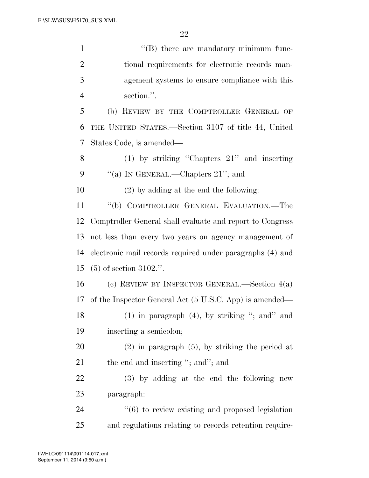| $\mathbf{1}$   | $\lq\lq$ there are mandatory minimum func-                       |
|----------------|------------------------------------------------------------------|
| $\overline{2}$ | tional requirements for electronic records man-                  |
| 3              | agement systems to ensure compliance with this                   |
| $\overline{4}$ | section.".                                                       |
| 5              | (b) REVIEW BY THE COMPTROLLER GENERAL OF                         |
| 6              | THE UNITED STATES.—Section 3107 of title 44, United              |
| 7              | States Code, is amended—                                         |
| 8              | $(1)$ by striking "Chapters $21$ " and inserting                 |
| 9              | "(a) IN GENERAL.—Chapters $21$ "; and                            |
| 10             | $(2)$ by adding at the end the following:                        |
| 11             | "(b) COMPTROLLER GENERAL EVALUATION.—The                         |
| 12             | Comptroller General shall evaluate and report to Congress        |
| 13             | not less than every two years on agency management of            |
| 14             | electronic mail records required under paragraphs (4) and        |
| 15             | $(5)$ of section 3102.".                                         |
| 16             | (c) REVIEW BY INSPECTOR GENERAL.—Section $4(a)$                  |
| 17             | of the Inspector General Act (5 U.S.C. App) is amended—          |
| 18             | $(1)$ in paragraph $(4)$ , by striking "; and" and               |
| 19             | inserting a semicolon;                                           |
| 20             | $(2)$ in paragraph $(5)$ , by striking the period at             |
| 21             | the end and inserting "; and"; and                               |
| 22             | (3) by adding at the end the following new                       |
| 23             | paragraph:                                                       |
| 24             | $\cdot\cdot\cdot(6)$ to review existing and proposed legislation |
| 25             | and regulations relating to records retention require-           |